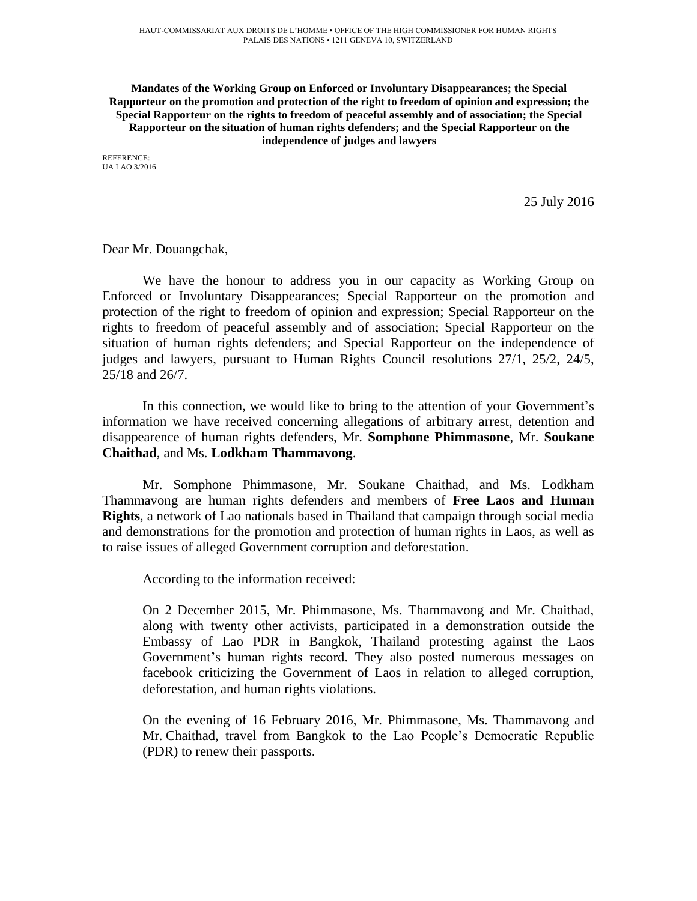**Mandates of the Working Group on Enforced or Involuntary Disappearances; the Special Rapporteur on the promotion and protection of the right to freedom of opinion and expression; the Special Rapporteur on the rights to freedom of peaceful assembly and of association; the Special Rapporteur on the situation of human rights defenders; and the Special Rapporteur on the independence of judges and lawyers**

REFERENCE: UA LAO 3/2016

25 July 2016

Dear Mr. Douangchak,

We have the honour to address you in our capacity as Working Group on Enforced or Involuntary Disappearances; Special Rapporteur on the promotion and protection of the right to freedom of opinion and expression; Special Rapporteur on the rights to freedom of peaceful assembly and of association; Special Rapporteur on the situation of human rights defenders; and Special Rapporteur on the independence of judges and lawyers, pursuant to Human Rights Council resolutions 27/1, 25/2, 24/5, 25/18 and 26/7.

In this connection, we would like to bring to the attention of your Government's information we have received concerning allegations of arbitrary arrest, detention and disappearence of human rights defenders, Mr. **Somphone Phimmasone**, Mr. **Soukane Chaithad**, and Ms. **Lodkham Thammavong**.

Mr. Somphone Phimmasone, Mr. Soukane Chaithad, and Ms. Lodkham Thammavong are human rights defenders and members of **Free Laos and Human Rights**, a network of Lao nationals based in Thailand that campaign through social media and demonstrations for the promotion and protection of human rights in Laos, as well as to raise issues of alleged Government corruption and deforestation.

According to the information received:

On 2 December 2015, Mr. Phimmasone, Ms. Thammavong and Mr. Chaithad, along with twenty other activists, participated in a demonstration outside the Embassy of Lao PDR in Bangkok, Thailand protesting against the Laos Government's human rights record. They also posted numerous messages on facebook criticizing the Government of Laos in relation to alleged corruption, deforestation, and human rights violations.

On the evening of 16 February 2016, Mr. Phimmasone, Ms. Thammavong and Mr. Chaithad, travel from Bangkok to the Lao People's Democratic Republic (PDR) to renew their passports.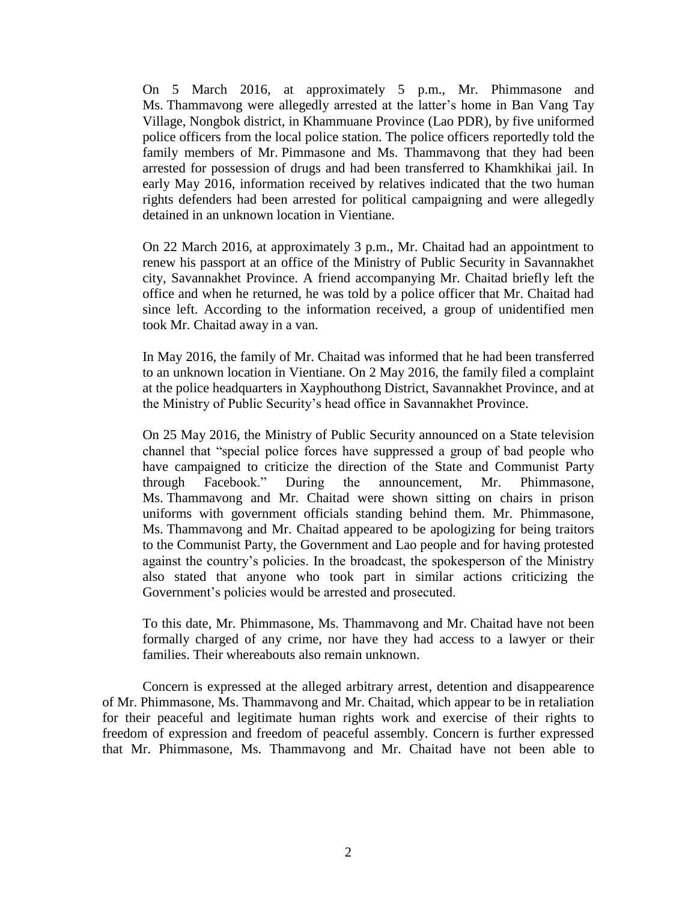On 5 March 2016, at approximately 5 p.m., Mr. Phimmasone and Ms. Thammavong were allegedly arrested at the latter's home in Ban Vang Tay Village, Nongbok district, in Khammuane Province (Lao PDR), by five uniformed police officers from the local police station. The police officers reportedly told the family members of Mr. Pimmasone and Ms. Thammavong that they had been arrested for possession of drugs and had been transferred to Khamkhikai jail. In early May 2016, information received by relatives indicated that the two human rights defenders had been arrested for political campaigning and were allegedly detained in an unknown location in Vientiane.

On 22 March 2016, at approximately 3 p.m., Mr. Chaitad had an appointment to renew his passport at an office of the Ministry of Public Security in Savannakhet city, Savannakhet Province. A friend accompanying Mr. Chaitad briefly left the office and when he returned, he was told by a police officer that Mr. Chaitad had since left. According to the information received, a group of unidentified men took Mr. Chaitad away in a van.

In May 2016, the family of Mr. Chaitad was informed that he had been transferred to an unknown location in Vientiane. On 2 May 2016, the family filed a complaint at the police headquarters in Xayphouthong District, Savannakhet Province, and at the Ministry of Public Security's head office in Savannakhet Province.

On 25 May 2016, the Ministry of Public Security announced on a State television channel that "special police forces have suppressed a group of bad people who have campaigned to criticize the direction of the State and Communist Party through Facebook." During the announcement, Mr. Phimmasone, Ms. Thammavong and Mr. Chaitad were shown sitting on chairs in prison uniforms with government officials standing behind them. Mr. Phimmasone, Ms. Thammavong and Mr. Chaitad appeared to be apologizing for being traitors to the Communist Party, the Government and Lao people and for having protested against the country's policies. In the broadcast, the spokesperson of the Ministry also stated that anyone who took part in similar actions criticizing the Government's policies would be arrested and prosecuted.

To this date, Mr. Phimmasone, Ms. Thammavong and Mr. Chaitad have not been formally charged of any crime, nor have they had access to a lawyer or their families. Their whereabouts also remain unknown.

Concern is expressed at the alleged arbitrary arrest, detention and disappearence of Mr. Phimmasone, Ms. Thammavong and Mr. Chaitad, which appear to be in retaliation for their peaceful and legitimate human rights work and exercise of their rights to freedom of expression and freedom of peaceful assembly. Concern is further expressed that Mr. Phimmasone, Ms. Thammavong and Mr. Chaitad have not been able to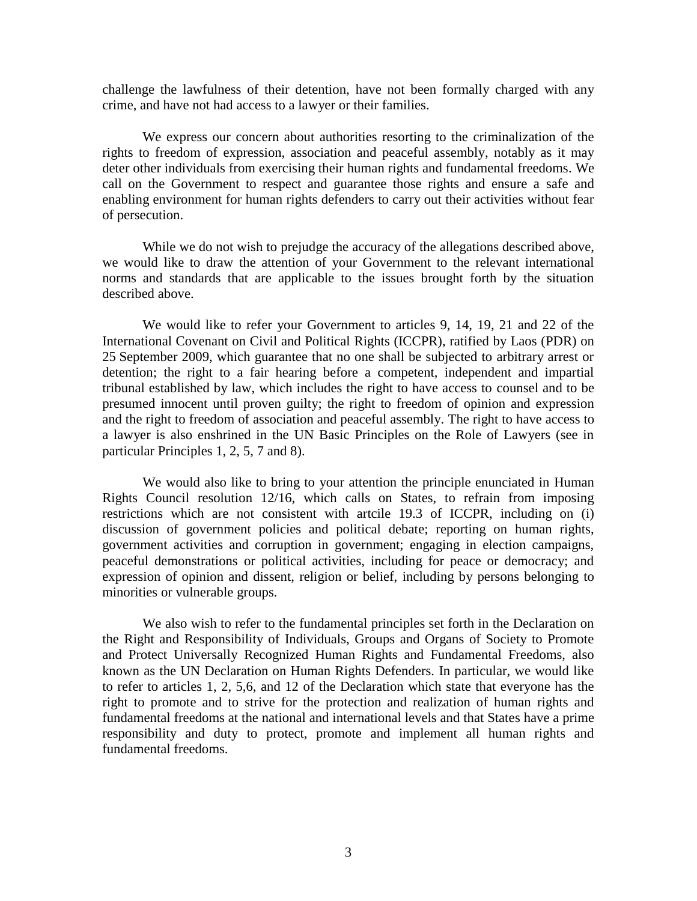challenge the lawfulness of their detention, have not been formally charged with any crime, and have not had access to a lawyer or their families.

We express our concern about authorities resorting to the criminalization of the rights to freedom of expression, association and peaceful assembly, notably as it may deter other individuals from exercising their human rights and fundamental freedoms. We call on the Government to respect and guarantee those rights and ensure a safe and enabling environment for human rights defenders to carry out their activities without fear of persecution.

While we do not wish to prejudge the accuracy of the allegations described above, we would like to draw the attention of your Government to the relevant international norms and standards that are applicable to the issues brought forth by the situation described above.

We would like to refer your Government to articles 9, 14, 19, 21 and 22 of the International Covenant on Civil and Political Rights (ICCPR), ratified by Laos (PDR) on 25 September 2009, which guarantee that no one shall be subjected to arbitrary arrest or detention; the right to a fair hearing before a competent, independent and impartial tribunal established by law, which includes the right to have access to counsel and to be presumed innocent until proven guilty; the right to freedom of opinion and expression and the right to freedom of association and peaceful assembly. The right to have access to a lawyer is also enshrined in the UN Basic Principles on the Role of Lawyers (see in particular Principles 1, 2, 5, 7 and 8).

We would also like to bring to your attention the principle enunciated in Human Rights Council resolution 12/16, which calls on States, to refrain from imposing restrictions which are not consistent with artcile 19.3 of ICCPR, including on (i) discussion of government policies and political debate; reporting on human rights, government activities and corruption in government; engaging in election campaigns, peaceful demonstrations or political activities, including for peace or democracy; and expression of opinion and dissent, religion or belief, including by persons belonging to minorities or vulnerable groups.

We also wish to refer to the fundamental principles set forth in the Declaration on the Right and Responsibility of Individuals, Groups and Organs of Society to Promote and Protect Universally Recognized Human Rights and Fundamental Freedoms, also known as the UN Declaration on Human Rights Defenders. In particular, we would like to refer to articles 1, 2, 5,6, and 12 of the Declaration which state that everyone has the right to promote and to strive for the protection and realization of human rights and fundamental freedoms at the national and international levels and that States have a prime responsibility and duty to protect, promote and implement all human rights and fundamental freedoms.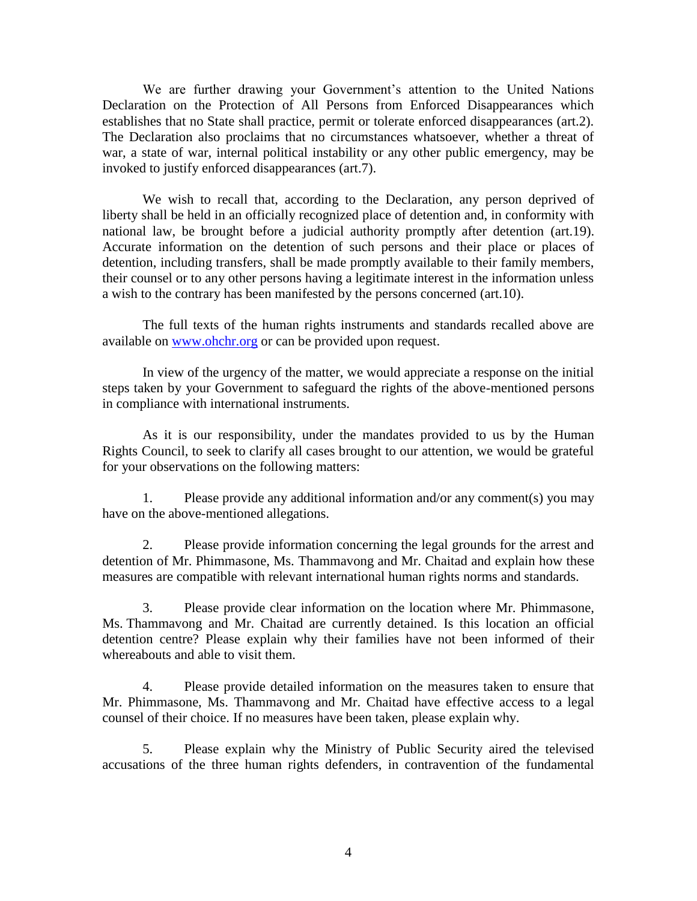We are further drawing your Government's attention to the United Nations Declaration on the Protection of All Persons from Enforced Disappearances which establishes that no State shall practice, permit or tolerate enforced disappearances (art.2). The Declaration also proclaims that no circumstances whatsoever, whether a threat of war, a state of war, internal political instability or any other public emergency, may be invoked to justify enforced disappearances (art.7).

We wish to recall that, according to the Declaration, any person deprived of liberty shall be held in an officially recognized place of detention and, in conformity with national law, be brought before a judicial authority promptly after detention (art.19). Accurate information on the detention of such persons and their place or places of detention, including transfers, shall be made promptly available to their family members, their counsel or to any other persons having a legitimate interest in the information unless a wish to the contrary has been manifested by the persons concerned (art.10).

The full texts of the human rights instruments and standards recalled above are available on [www.ohchr.org](http://www.ohchr.org/) or can be provided upon request.

In view of the urgency of the matter, we would appreciate a response on the initial steps taken by your Government to safeguard the rights of the above-mentioned persons in compliance with international instruments.

As it is our responsibility, under the mandates provided to us by the Human Rights Council, to seek to clarify all cases brought to our attention, we would be grateful for your observations on the following matters:

1. Please provide any additional information and/or any comment(s) you may have on the above-mentioned allegations.

2. Please provide information concerning the legal grounds for the arrest and detention of Mr. Phimmasone, Ms. Thammavong and Mr. Chaitad and explain how these measures are compatible with relevant international human rights norms and standards.

3. Please provide clear information on the location where Mr. Phimmasone, Ms. Thammavong and Mr. Chaitad are currently detained. Is this location an official detention centre? Please explain why their families have not been informed of their whereabouts and able to visit them.

4. Please provide detailed information on the measures taken to ensure that Mr. Phimmasone, Ms. Thammavong and Mr. Chaitad have effective access to a legal counsel of their choice. If no measures have been taken, please explain why.

5. Please explain why the Ministry of Public Security aired the televised accusations of the three human rights defenders, in contravention of the fundamental